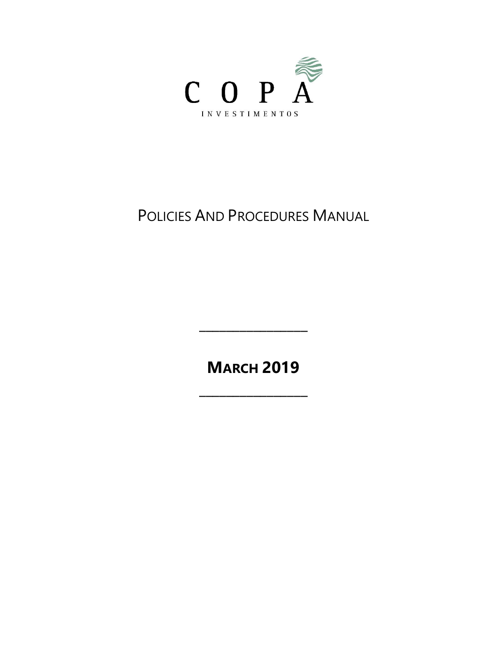

# POLICIES AND PROCEDURES MANUAL

**MARCH 2019**

**\_\_\_\_\_\_\_\_\_\_\_\_\_\_\_\_**

**\_\_\_\_\_\_\_\_\_\_\_\_\_\_\_\_**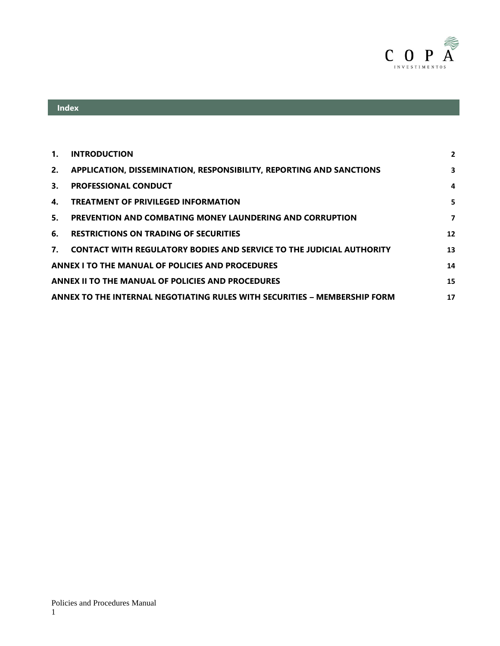

# **Index**

| $\mathbf{1}$ .                                          | <b>INTRODUCTION</b>                                                         | $\overline{2}$ |
|---------------------------------------------------------|-----------------------------------------------------------------------------|----------------|
| 2.                                                      | <b>APPLICATION, DISSEMINATION, RESPONSIBILITY, REPORTING AND SANCTIONS</b>  | 3              |
| 3.                                                      | <b>PROFESSIONAL CONDUCT</b>                                                 | 4              |
| 4.                                                      | <b>TREATMENT OF PRIVILEGED INFORMATION</b>                                  | 5              |
| 5.                                                      | PREVENTION AND COMBATING MONEY LAUNDERING AND CORRUPTION                    | $\overline{ }$ |
| 6.                                                      | <b>RESTRICTIONS ON TRADING OF SECURITIES</b>                                | 12             |
| $\mathbf{7}$                                            | <b>CONTACT WITH REGULATORY BODIES AND SERVICE TO THE JUDICIAL AUTHORITY</b> | 13             |
| <b>ANNEX I TO THE MANUAL OF POLICIES AND PROCEDURES</b> |                                                                             |                |
|                                                         | <b>ANNEX II TO THE MANUAL OF POLICIES AND PROCEDURES</b>                    | 15             |
|                                                         | ANNEX TO THE INTERNAL NEGOTIATING RULES WITH SECURITIES - MEMBERSHIP FORM   | 17             |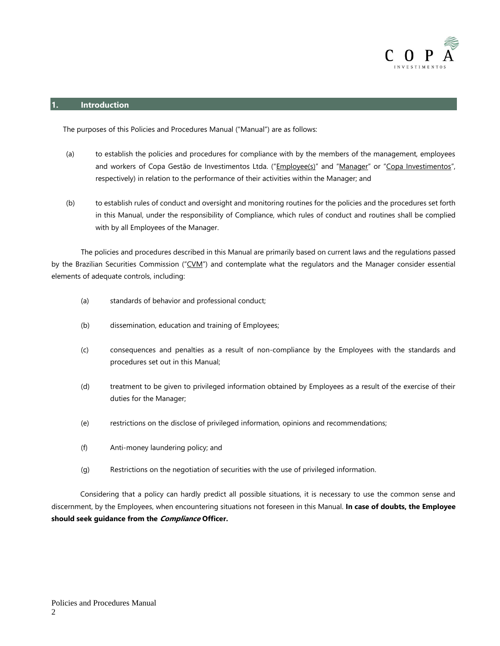

#### <span id="page-2-0"></span>**1. Introduction**

The purposes of this Policies and Procedures Manual ("Manual") are as follows:

- (a) to establish the policies and procedures for compliance with by the members of the management, employees and workers of Copa Gestão de Investimentos Ltda. ("Employee(s)" and "Manager" or "Copa Investimentos", respectively) in relation to the performance of their activities within the Manager; and
- (b) to establish rules of conduct and oversight and monitoring routines for the policies and the procedures set forth in this Manual, under the responsibility of Compliance, which rules of conduct and routines shall be complied with by all Employees of the Manager.

The policies and procedures described in this Manual are primarily based on current laws and the regulations passed by the Brazilian Securities Commission ("CVM") and contemplate what the regulators and the Manager consider essential elements of adequate controls, including:

- (a) standards of behavior and professional conduct;
- (b) dissemination, education and training of Employees;
- (c) consequences and penalties as a result of non-compliance by the Employees with the standards and procedures set out in this Manual;
- (d) treatment to be given to privileged information obtained by Employees as a result of the exercise of their duties for the Manager;
- (e) restrictions on the disclose of privileged information, opinions and recommendations;
- (f) Anti-money laundering policy; and
- (g) Restrictions on the negotiation of securities with the use of privileged information.

Considering that a policy can hardly predict all possible situations, it is necessary to use the common sense and discernment, by the Employees, when encountering situations not foreseen in this Manual. **In case of doubts, the Employee should seek guidance from the Compliance Officer.**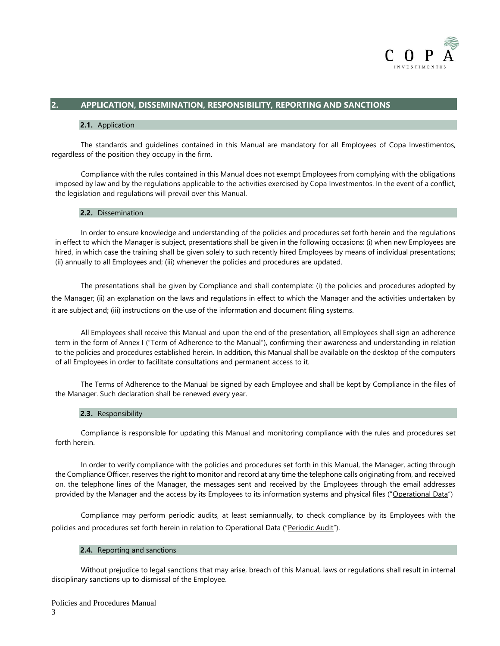

# <span id="page-3-0"></span>**2. APPLICATION, DISSEMINATION, RESPONSIBILITY, REPORTING AND SANCTIONS**

#### **2.1.** Application

The standards and guidelines contained in this Manual are mandatory for all Employees of Copa Investimentos, regardless of the position they occupy in the firm.

Compliance with the rules contained in this Manual does not exempt Employees from complying with the obligations imposed by law and by the regulations applicable to the activities exercised by Copa Investmentos. In the event of a conflict, the legislation and regulations will prevail over this Manual.

#### **2.2.** Dissemination

In order to ensure knowledge and understanding of the policies and procedures set forth herein and the regulations in effect to which the Manager is subject, presentations shall be given in the following occasions: (i) when new Employees are hired, in which case the training shall be given solely to such recently hired Employees by means of individual presentations; (ii) annually to all Employees and; (iii) whenever the policies and procedures are updated.

The presentations shall be given by Compliance and shall contemplate: (i) the policies and procedures adopted by the Manager; (ii) an explanation on the laws and regulations in effect to which the Manager and the activities undertaken by it are subject and; (iii) instructions on the use of the information and document filing systems.

All Employees shall receive this Manual and upon the end of the presentation, all Employees shall sign an adherence term in the form of Annex I ("Term of Adherence to the Manual"), confirming their awareness and understanding in relation to the policies and procedures established herein. In addition, this Manual shall be available on the desktop of the computers of all Employees in order to facilitate consultations and permanent access to it.

The Terms of Adherence to the Manual be signed by each Employee and shall be kept by Compliance in the files of the Manager. Such declaration shall be renewed every year.

#### **2.3.** Responsibility

Compliance is responsible for updating this Manual and monitoring compliance with the rules and procedures set forth herein.

In order to verify compliance with the policies and procedures set forth in this Manual, the Manager, acting through the Compliance Officer, reserves the right to monitor and record at any time the telephone calls originating from, and received on, the telephone lines of the Manager, the messages sent and received by the Employees through the email addresses provided by the Manager and the access by its Employees to its information systems and physical files ("Operational Data")

Compliance may perform periodic audits, at least semiannually, to check compliance by its Employees with the policies and procedures set forth herein in relation to Operational Data ("Periodic Audit").

#### **2.4.** Reporting and sanctions

Without prejudice to legal sanctions that may arise, breach of this Manual, laws or regulations shall result in internal disciplinary sanctions up to dismissal of the Employee.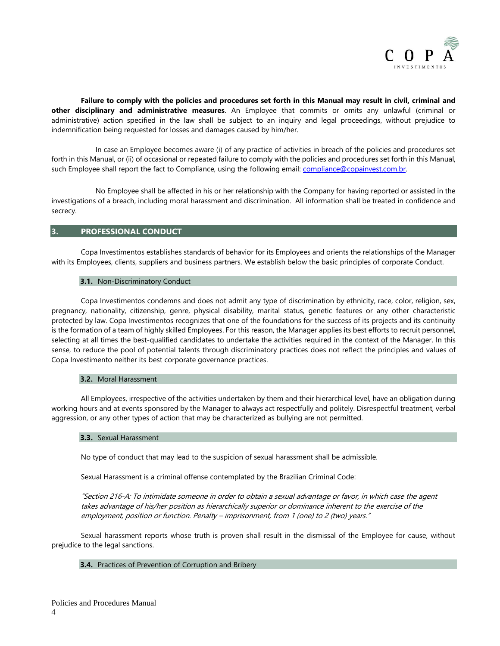

**Failure to comply with the policies and procedures set forth in this Manual may result in civil, criminal and other disciplinary and administrative measures**. An Employee that commits or omits any unlawful (criminal or administrative) action specified in the law shall be subject to an inquiry and legal proceedings, without prejudice to indemnification being requested for losses and damages caused by him/her.

In case an Employee becomes aware (i) of any practice of activities in breach of the policies and procedures set forth in this Manual, or (ii) of occasional or repeated failure to comply with the policies and procedures set forth in this Manual, such Employee shall report the fact to Compliance, using the following email: compliance@copainvest.com.br.

No Employee shall be affected in his or her relationship with the Company for having reported or assisted in the investigations of a breach, including moral harassment and discrimination. All information shall be treated in confidence and secrecy.

#### <span id="page-4-0"></span>**3. PROFESSIONAL CONDUCT**

Copa Investimentos establishes standards of behavior for its Employees and orients the relationships of the Manager with its Employees, clients, suppliers and business partners. We establish below the basic principles of corporate Conduct.

#### **3.1.** Non-Discriminatory Conduct

Copa Investimentos condemns and does not admit any type of discrimination by ethnicity, race, color, religion, sex, pregnancy, nationality, citizenship, genre, physical disability, marital status, genetic features or any other characteristic protected by law. Copa Investimentos recognizes that one of the foundations for the success of its projects and its continuity is the formation of a team of highly skilled Employees. For this reason, the Manager applies its best efforts to recruit personnel, selecting at all times the best-qualified candidates to undertake the activities required in the context of the Manager. In this sense, to reduce the pool of potential talents through discriminatory practices does not reflect the principles and values of Copa Investimento neither its best corporate governance practices.

#### **3.2.** Moral Harassment

All Employees, irrespective of the activities undertaken by them and their hierarchical level, have an obligation during working hours and at events sponsored by the Manager to always act respectfully and politely. Disrespectful treatment, verbal aggression, or any other types of action that may be characterized as bullying are not permitted.

#### **3.3.** Sexual Harassment

No type of conduct that may lead to the suspicion of sexual harassment shall be admissible.

Sexual Harassment is a criminal offense contemplated by the Brazilian Criminal Code:

"Section 216-A: To intimidate someone in order to obtain a sexual advantage or favor, in which case the agent takes advantage of his/her position as hierarchically superior or dominance inherent to the exercise of the employment, position or function. Penalty – imprisonment, from 1 (one) to 2 (two) years."

Sexual harassment reports whose truth is proven shall result in the dismissal of the Employee for cause, without prejudice to the legal sanctions.

#### **3.4.** Practices of Prevention of Corruption and Bribery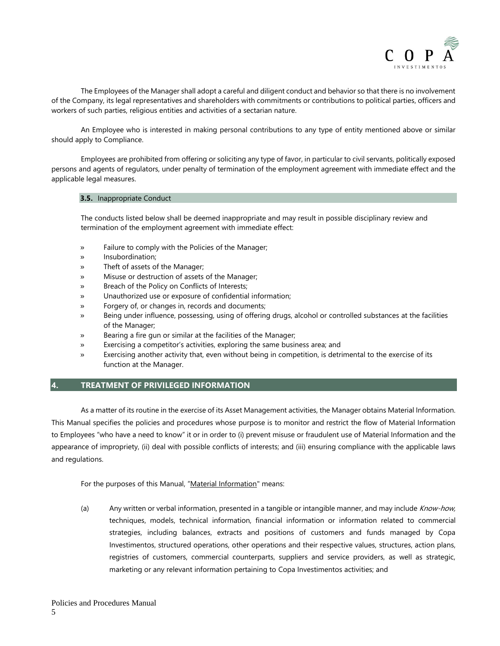

The Employees of the Manager shall adopt a careful and diligent conduct and behavior so that there is no involvement of the Company, its legal representatives and shareholders with commitments or contributions to political parties, officers and workers of such parties, religious entities and activities of a sectarian nature.

An Employee who is interested in making personal contributions to any type of entity mentioned above or similar should apply to Compliance.

Employees are prohibited from offering or soliciting any type of favor, in particular to civil servants, politically exposed persons and agents of regulators, under penalty of termination of the employment agreement with immediate effect and the applicable legal measures.

#### **3.5.** Inappropriate Conduct

The conducts listed below shall be deemed inappropriate and may result in possible disciplinary review and termination of the employment agreement with immediate effect:

- » Failure to comply with the Policies of the Manager;
- » Insubordination;
- Theft of assets of the Manager;
- » Misuse or destruction of assets of the Manager;
- Breach of the Policy on Conflicts of Interests;
- » Unauthorized use or exposure of confidential information;
- » Forgery of, or changes in, records and documents;
- » Being under influence, possessing, using of offering drugs, alcohol or controlled substances at the facilities of the Manager;
- Bearing a fire gun or similar at the facilities of the Manager;
- Exercising a competitor's activities, exploring the same business area; and
- Exercising another activity that, even without being in competition, is detrimental to the exercise of its function at the Manager.

#### <span id="page-5-0"></span>**4. TREATMENT OF PRIVILEGED INFORMATION**

As a matter of its routine in the exercise of its Asset Management activities, the Manager obtains Material Information. This Manual specifies the policies and procedures whose purpose is to monitor and restrict the flow of Material Information to Employees "who have a need to know" it or in order to (i) prevent misuse or fraudulent use of Material Information and the appearance of impropriety, (ii) deal with possible conflicts of interests; and (iii) ensuring compliance with the applicable laws and regulations.

For the purposes of this Manual, "Material Information" means:

(a) Any written or verbal information, presented in a tangible or intangible manner, and may include *Know-how*, techniques, models, technical information, financial information or information related to commercial strategies, including balances, extracts and positions of customers and funds managed by Copa Investimentos, structured operations, other operations and their respective values, structures, action plans, registries of customers, commercial counterparts, suppliers and service providers, as well as strategic, marketing or any relevant information pertaining to Copa Investimentos activities; and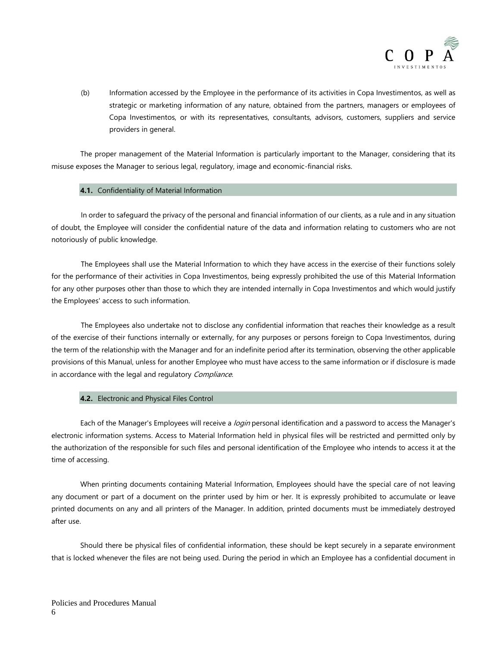

(b) Information accessed by the Employee in the performance of its activities in Copa Investimentos, as well as strategic or marketing information of any nature, obtained from the partners, managers or employees of Copa Investimentos, or with its representatives, consultants, advisors, customers, suppliers and service providers in general.

The proper management of the Material Information is particularly important to the Manager, considering that its misuse exposes the Manager to serious legal, regulatory, image and economic-financial risks.

#### **4.1.** Confidentiality of Material Information

In order to safeguard the privacy of the personal and financial information of our clients, as a rule and in any situation of doubt, the Employee will consider the confidential nature of the data and information relating to customers who are not notoriously of public knowledge.

The Employees shall use the Material Information to which they have access in the exercise of their functions solely for the performance of their activities in Copa Investimentos, being expressly prohibited the use of this Material Information for any other purposes other than those to which they are intended internally in Copa Investimentos and which would justify the Employees' access to such information.

The Employees also undertake not to disclose any confidential information that reaches their knowledge as a result of the exercise of their functions internally or externally, for any purposes or persons foreign to Copa Investimentos, during the term of the relationship with the Manager and for an indefinite period after its termination, observing the other applicable provisions of this Manual, unless for another Employee who must have access to the same information or if disclosure is made in accordance with the legal and regulatory Compliance.

#### **4.2.** Electronic and Physical Files Control

Each of the Manager's Employees will receive a *login* personal identification and a password to access the Manager's electronic information systems. Access to Material Information held in physical files will be restricted and permitted only by the authorization of the responsible for such files and personal identification of the Employee who intends to access it at the time of accessing.

When printing documents containing Material Information, Employees should have the special care of not leaving any document or part of a document on the printer used by him or her. It is expressly prohibited to accumulate or leave printed documents on any and all printers of the Manager. In addition, printed documents must be immediately destroyed after use.

Should there be physical files of confidential information, these should be kept securely in a separate environment that is locked whenever the files are not being used. During the period in which an Employee has a confidential document in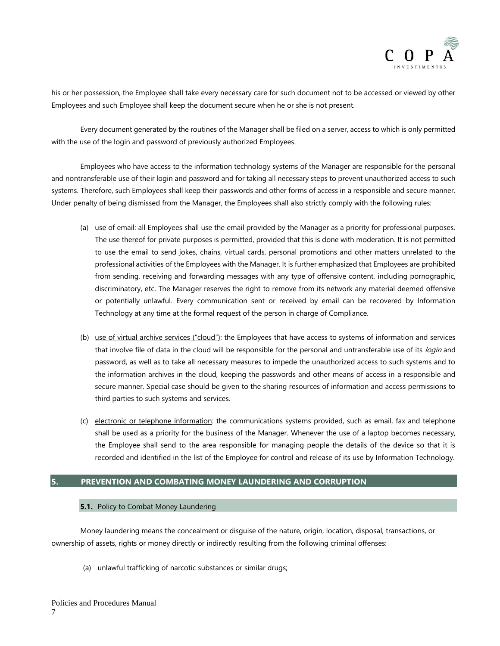

his or her possession, the Employee shall take every necessary care for such document not to be accessed or viewed by other Employees and such Employee shall keep the document secure when he or she is not present.

Every document generated by the routines of the Manager shall be filed on a server, access to which is only permitted with the use of the login and password of previously authorized Employees.

Employees who have access to the information technology systems of the Manager are responsible for the personal and nontransferable use of their login and password and for taking all necessary steps to prevent unauthorized access to such systems. Therefore, such Employees shall keep their passwords and other forms of access in a responsible and secure manner. Under penalty of being dismissed from the Manager, the Employees shall also strictly comply with the following rules:

- (a) use of email: all Employees shall use the email provided by the Manager as a priority for professional purposes. The use thereof for private purposes is permitted, provided that this is done with moderation. It is not permitted to use the email to send jokes, chains, virtual cards, personal promotions and other matters unrelated to the professional activities of the Employees with the Manager. It is further emphasized that Employees are prohibited from sending, receiving and forwarding messages with any type of offensive content, including pornographic, discriminatory, etc. The Manager reserves the right to remove from its network any material deemed offensive or potentially unlawful. Every communication sent or received by email can be recovered by Information Technology at any time at the formal request of the person in charge of Compliance.
- (b) use of virtual archive services ("cloud"): the Employees that have access to systems of information and services that involve file of data in the cloud will be responsible for the personal and untransferable use of its login and password, as well as to take all necessary measures to impede the unauthorized access to such systems and to the information archives in the cloud, keeping the passwords and other means of access in a responsible and secure manner. Special case should be given to the sharing resources of information and access permissions to third parties to such systems and services.
- (c) electronic or telephone information: the communications systems provided, such as email, fax and telephone shall be used as a priority for the business of the Manager. Whenever the use of a laptop becomes necessary, the Employee shall send to the area responsible for managing people the details of the device so that it is recorded and identified in the list of the Employee for control and release of its use by Information Technology.

# <span id="page-7-0"></span>**5. PREVENTION AND COMBATING MONEY LAUNDERING AND CORRUPTION**

#### **5.1.** Policy to Combat Money Laundering

Money laundering means the concealment or disguise of the nature, origin, location, disposal, transactions, or ownership of assets, rights or money directly or indirectly resulting from the following criminal offenses:

(a) unlawful trafficking of narcotic substances or similar drugs;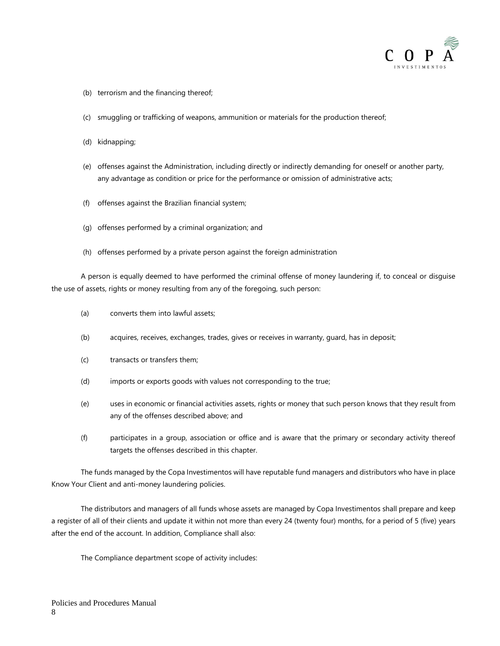

- (b) terrorism and the financing thereof;
- (c) smuggling or trafficking of weapons, ammunition or materials for the production thereof;
- (d) kidnapping;
- (e) offenses against the Administration, including directly or indirectly demanding for oneself or another party, any advantage as condition or price for the performance or omission of administrative acts;
- (f) offenses against the Brazilian financial system;
- (g) offenses performed by a criminal organization; and
- (h) offenses performed by a private person against the foreign administration

A person is equally deemed to have performed the criminal offense of money laundering if, to conceal or disguise the use of assets, rights or money resulting from any of the foregoing, such person:

- (a) converts them into lawful assets;
- (b) acquires, receives, exchanges, trades, gives or receives in warranty, guard, has in deposit;
- (c) transacts or transfers them;
- (d) imports or exports goods with values not corresponding to the true;
- (e) uses in economic or financial activities assets, rights or money that such person knows that they result from any of the offenses described above; and
- (f) participates in a group, association or office and is aware that the primary or secondary activity thereof targets the offenses described in this chapter.

The funds managed by the Copa Investimentos will have reputable fund managers and distributors who have in place Know Your Client and anti-money laundering policies.

The distributors and managers of all funds whose assets are managed by Copa Investimentos shall prepare and keep a register of all of their clients and update it within not more than every 24 (twenty four) months, for a period of 5 (five) years after the end of the account. In addition, Compliance shall also:

The Compliance department scope of activity includes: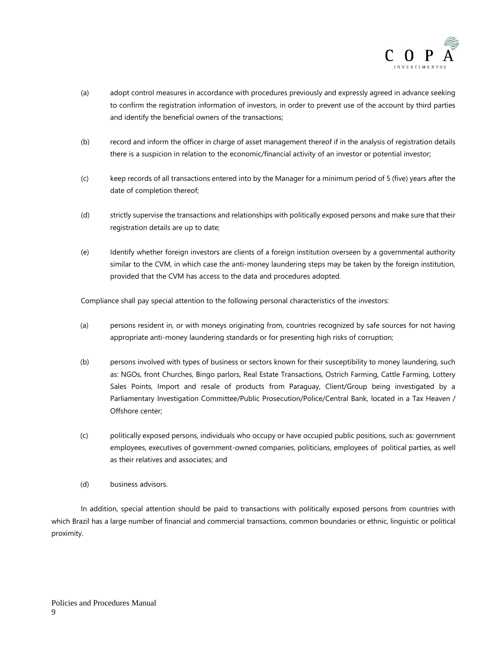

- (a) adopt control measures in accordance with procedures previously and expressly agreed in advance seeking to confirm the registration information of investors, in order to prevent use of the account by third parties and identify the beneficial owners of the transactions;
- (b) record and inform the officer in charge of asset management thereof if in the analysis of registration details there is a suspicion in relation to the economic/financial activity of an investor or potential investor;
- (c) keep records of all transactions entered into by the Manager for a minimum period of 5 (five) years after the date of completion thereof;
- (d) strictly supervise the transactions and relationships with politically exposed persons and make sure that their registration details are up to date;
- (e) Identify whether foreign investors are clients of a foreign institution overseen by a governmental authority similar to the CVM, in which case the anti-money laundering steps may be taken by the foreign institution, provided that the CVM has access to the data and procedures adopted.

Compliance shall pay special attention to the following personal characteristics of the investors:

- (a) persons resident in, or with moneys originating from, countries recognized by safe sources for not having appropriate anti-money laundering standards or for presenting high risks of corruption;
- (b) persons involved with types of business or sectors known for their susceptibility to money laundering, such as: NGOs, front Churches, Bingo parlors, Real Estate Transactions, Ostrich Farming, Cattle Farming, Lottery Sales Points, Import and resale of products from Paraguay, Client/Group being investigated by a Parliamentary Investigation Committee/Public Prosecution/Police/Central Bank, located in a Tax Heaven / Offshore center;
- (c) politically exposed persons, individuals who occupy or have occupied public positions, such as: government employees, executives of government-owned companies, politicians, employees of political parties, as well as their relatives and associates; and
- (d) business advisors.

In addition, special attention should be paid to transactions with politically exposed persons from countries with which Brazil has a large number of financial and commercial transactions, common boundaries or ethnic, linguistic or political proximity.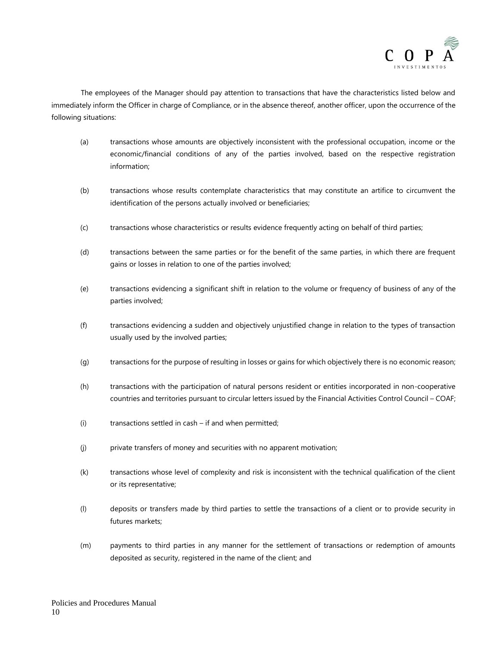

The employees of the Manager should pay attention to transactions that have the characteristics listed below and immediately inform the Officer in charge of Compliance, or in the absence thereof, another officer, upon the occurrence of the following situations:

- (a) transactions whose amounts are objectively inconsistent with the professional occupation, income or the economic/financial conditions of any of the parties involved, based on the respective registration information;
- (b) transactions whose results contemplate characteristics that may constitute an artifice to circumvent the identification of the persons actually involved or beneficiaries;
- (c) transactions whose characteristics or results evidence frequently acting on behalf of third parties;
- (d) transactions between the same parties or for the benefit of the same parties, in which there are frequent gains or losses in relation to one of the parties involved;
- (e) transactions evidencing a significant shift in relation to the volume or frequency of business of any of the parties involved;
- (f) transactions evidencing a sudden and objectively unjustified change in relation to the types of transaction usually used by the involved parties;
- (g) transactions for the purpose of resulting in losses or gains for which objectively there is no economic reason;
- (h) transactions with the participation of natural persons resident or entities incorporated in non-cooperative countries and territories pursuant to circular letters issued by the Financial Activities Control Council – COAF;
- (i) transactions settled in cash if and when permitted;
- (j) private transfers of money and securities with no apparent motivation;
- (k) transactions whose level of complexity and risk is inconsistent with the technical qualification of the client or its representative;
- (l) deposits or transfers made by third parties to settle the transactions of a client or to provide security in futures markets;
- (m) payments to third parties in any manner for the settlement of transactions or redemption of amounts deposited as security, registered in the name of the client; and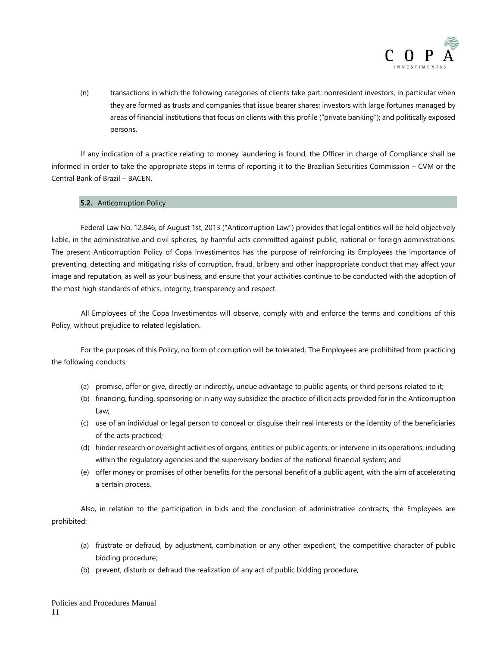

(n) transactions in which the following categories of clients take part: nonresident investors, in particular when they are formed as trusts and companies that issue bearer shares; investors with large fortunes managed by areas of financial institutions that focus on clients with this profile ("private banking"); and politically exposed persons.

If any indication of a practice relating to money laundering is found, the Officer in charge of Compliance shall be informed in order to take the appropriate steps in terms of reporting it to the Brazilian Securities Commission – CVM or the Central Bank of Brazil – BACEN.

#### **5.2.** Anticorruption Policy

Federal Law No. 12,846, of August 1st, 2013 ("Anticorruption Law") provides that legal entities will be held objectively liable, in the administrative and civil spheres, by harmful acts committed against public, national or foreign administrations. The present Anticorruption Policy of Copa Investimentos has the purpose of reinforcing its Employees the importance of preventing, detecting and mitigating risks of corruption, fraud, bribery and other inappropriate conduct that may affect your image and reputation, as well as your business, and ensure that your activities continue to be conducted with the adoption of the most high standards of ethics, integrity, transparency and respect.

All Employees of the Copa Investimentos will observe, comply with and enforce the terms and conditions of this Policy, without prejudice to related legislation.

For the purposes of this Policy, no form of corruption will be tolerated. The Employees are prohibited from practicing the following conducts:

- (a) promise, offer or give, directly or indirectly, undue advantage to public agents, or third persons related to it;
- (b) financing, funding, sponsoring or in any way subsidize the practice of illicit acts provided for in the Anticorruption Law;
- (c) use of an individual or legal person to conceal or disguise their real interests or the identity of the beneficiaries of the acts practiced;
- (d) hinder research or oversight activities of organs, entities or public agents, or intervene in its operations, including within the regulatory agencies and the supervisory bodies of the national financial system; and
- (e) offer money or promises of other benefits for the personal benefit of a public agent, with the aim of accelerating a certain process.

Also, in relation to the participation in bids and the conclusion of administrative contracts, the Employees are prohibited:

- (a) frustrate or defraud, by adjustment, combination or any other expedient, the competitive character of public bidding procedure;
- (b) prevent, disturb or defraud the realization of any act of public bidding procedure;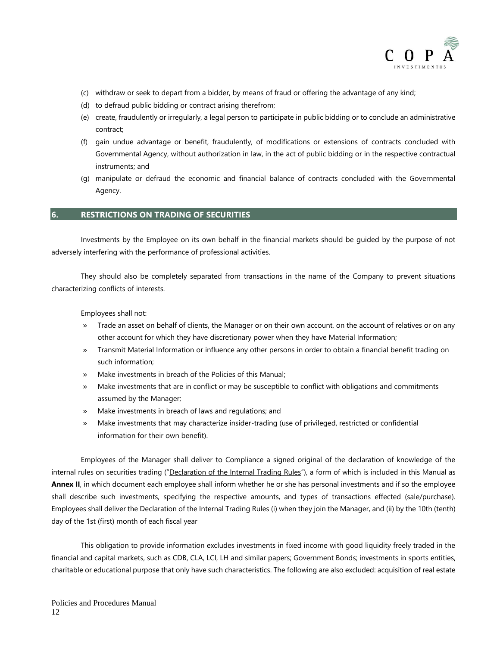

- (c) withdraw or seek to depart from a bidder, by means of fraud or offering the advantage of any kind;
- (d) to defraud public bidding or contract arising therefrom;
- (e) create, fraudulently or irregularly, a legal person to participate in public bidding or to conclude an administrative contract;
- (f) gain undue advantage or benefit, fraudulently, of modifications or extensions of contracts concluded with Governmental Agency, without authorization in law, in the act of public bidding or in the respective contractual instruments; and
- (g) manipulate or defraud the economic and financial balance of contracts concluded with the Governmental Agency.

#### <span id="page-12-0"></span>**6. RESTRICTIONS ON TRADING OF SECURITIES**

Investments by the Employee on its own behalf in the financial markets should be guided by the purpose of not adversely interfering with the performance of professional activities.

They should also be completely separated from transactions in the name of the Company to prevent situations characterizing conflicts of interests.

Employees shall not:

- » Trade an asset on behalf of clients, the Manager or on their own account, on the account of relatives or on any other account for which they have discretionary power when they have Material Information;
- » Transmit Material Information or influence any other persons in order to obtain a financial benefit trading on such information;
- » Make investments in breach of the Policies of this Manual;
- » Make investments that are in conflict or may be susceptible to conflict with obligations and commitments assumed by the Manager;
- » Make investments in breach of laws and regulations; and
- » Make investments that may characterize insider-trading (use of privileged, restricted or confidential information for their own benefit).

Employees of the Manager shall deliver to Compliance a signed original of the declaration of knowledge of the internal rules on securities trading ("Declaration of the Internal Trading Rules"), a form of which is included in this Manual as **Annex II**, in which document each employee shall inform whether he or she has personal investments and if so the employee shall describe such investments, specifying the respective amounts, and types of transactions effected (sale/purchase). Employees shall deliver the Declaration of the Internal Trading Rules (i) when they join the Manager, and (ii) by the 10th (tenth) day of the 1st (first) month of each fiscal year

This obligation to provide information excludes investments in fixed income with good liquidity freely traded in the financial and capital markets, such as CDB, CLA, LCI, LH and similar papers; Government Bonds; investments in sports entities, charitable or educational purpose that only have such characteristics. The following are also excluded: acquisition of real estate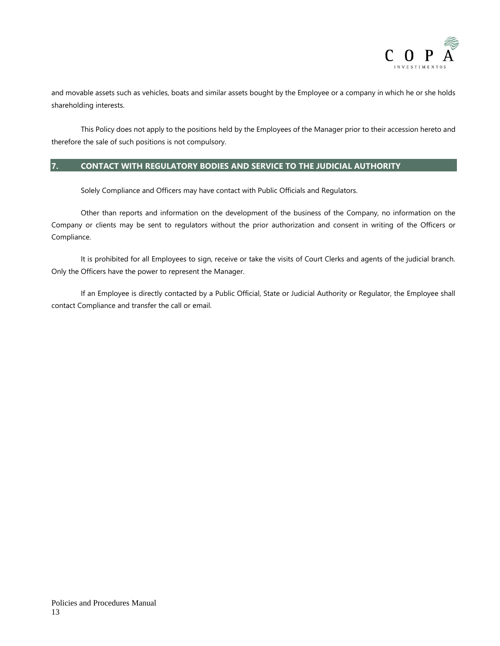

and movable assets such as vehicles, boats and similar assets bought by the Employee or a company in which he or she holds shareholding interests.

This Policy does not apply to the positions held by the Employees of the Manager prior to their accession hereto and therefore the sale of such positions is not compulsory.

# <span id="page-13-0"></span>**7. CONTACT WITH REGULATORY BODIES AND SERVICE TO THE JUDICIAL AUTHORITY**

Solely Compliance and Officers may have contact with Public Officials and Regulators.

Other than reports and information on the development of the business of the Company, no information on the Company or clients may be sent to regulators without the prior authorization and consent in writing of the Officers or Compliance.

It is prohibited for all Employees to sign, receive or take the visits of Court Clerks and agents of the judicial branch. Only the Officers have the power to represent the Manager.

If an Employee is directly contacted by a Public Official, State or Judicial Authority or Regulator, the Employee shall contact Compliance and transfer the call or email.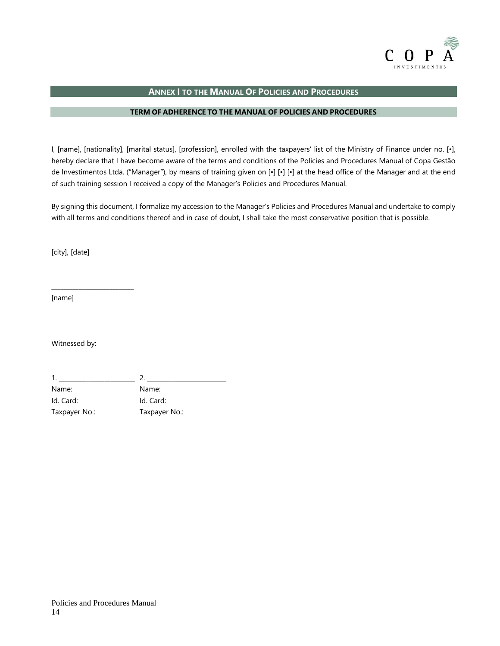

# **ANNEX I TO THE MANUAL OF POLICIES AND PROCEDURES**

## **TERM OF ADHERENCE TO THE MANUAL OF POLICIES AND PROCEDURES**

<span id="page-14-0"></span>I, [name], [nationality], [marital status], [profession], enrolled with the taxpayers' list of the Ministry of Finance under no. [•], hereby declare that I have become aware of the terms and conditions of the Policies and Procedures Manual of Copa Gestão de Investimentos Ltda. ("Manager"), by means of training given on [•] [•] [•] at the head office of the Manager and at the end of such training session I received a copy of the Manager's Policies and Procedures Manual.

By signing this document, I formalize my accession to the Manager's Policies and Procedures Manual and undertake to comply with all terms and conditions thereof and in case of doubt, I shall take the most conservative position that is possible.

[city], [date]

\_\_\_\_\_\_\_\_\_\_\_\_\_\_\_\_\_\_\_\_\_\_\_\_\_\_\_

[name]

Witnessed by:

1. \_\_\_\_\_\_\_\_\_\_\_\_\_\_\_\_\_\_\_\_\_\_\_\_\_ 2. \_\_\_\_\_\_\_\_\_\_\_\_\_\_\_\_\_\_\_\_\_\_\_\_\_\_ Name: Name: Id. Card: Id. Card: Taxpayer No.: Taxpayer No.: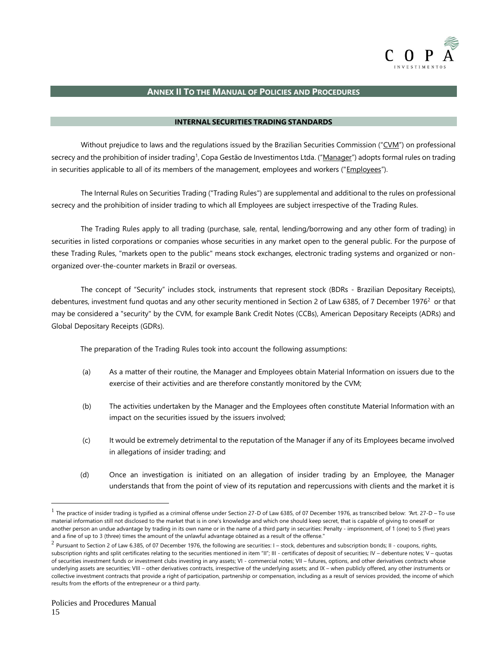

# **ANNEX II TO THE MANUAL OF POLICIES AND PROCEDURES**

#### **INTERNAL SECURITIES TRADING STANDARDS**

<span id="page-15-0"></span>Without prejudice to laws and the regulations issued by the Brazilian Securities Commission ("CVM") on professional secrecy and the prohibition of insider trading<sup>1</sup>, Copa Gestão de Investimentos Ltda. ("<u>Manager</u>") adopts formal rules on trading in securities applicable to all of its members of the management, employees and workers ("*Employees"*).

The Internal Rules on Securities Trading ("Trading Rules") are supplemental and additional to the rules on professional secrecy and the prohibition of insider trading to which all Employees are subject irrespective of the Trading Rules.

The Trading Rules apply to all trading (purchase, sale, rental, lending/borrowing and any other form of trading) in securities in listed corporations or companies whose securities in any market open to the general public. For the purpose of these Trading Rules, "markets open to the public" means stock exchanges, electronic trading systems and organized or nonorganized over-the-counter markets in Brazil or overseas.

The concept of "Security" includes stock, instruments that represent stock (BDRs - Brazilian Depositary Receipts), debentures, investment fund quotas and any other security mentioned in Section 2 of Law 6385, of 7 December 1976<sup>2</sup> or that may be considered a "security" by the CVM, for example Bank Credit Notes (CCBs), American Depositary Receipts (ADRs) and Global Depositary Receipts (GDRs).

The preparation of the Trading Rules took into account the following assumptions:

- (a) As a matter of their routine, the Manager and Employees obtain Material Information on issuers due to the exercise of their activities and are therefore constantly monitored by the CVM;
- (b) The activities undertaken by the Manager and the Employees often constitute Material Information with an impact on the securities issued by the issuers involved;
- (c) It would be extremely detrimental to the reputation of the Manager if any of its Employees became involved in allegations of insider trading; and
- (d) Once an investigation is initiated on an allegation of insider trading by an Employee, the Manager understands that from the point of view of its reputation and repercussions with clients and the market it is

 $^1$  The practice of insider trading is typified as a criminal offense under Section 27-D of Law 6385, of 07 December 1976, as transcribed below: "Art. 27-D – To use material information still not disclosed to the market that is in one's knowledge and which one should keep secret, that is capable of giving to oneself or another person an undue advantage by trading in its own name or in the name of a third party in securities: Penalty - imprisonment, of 1 (one) to 5 (five) years and a fine of up to 3 (three) times the amount of the unlawful advantage obtained as a result of the offense."

 $^2$  Pursuant to Section 2 of Law 6.385, of 07 December 1976, the following are securities: I – stock, debentures and subscription bonds; II - coupons, rights, subscription rights and split certificates relating to the securities mentioned in item "II"; III - certificates of deposit of securities; IV - debenture notes; V - quotas of securities investment funds or investment clubs investing in any assets; VI - commercial notes; VII - futures, options, and other derivatives contracts whose underlying assets are securities; VIII – other derivatives contracts, irrespective of the underlying assets; and IX – when publicly offered, any other instruments or collective investment contracts that provide a right of participation, partnership or compensation, including as a result of services provided, the income of which results from the efforts of the entrepreneur or a third party.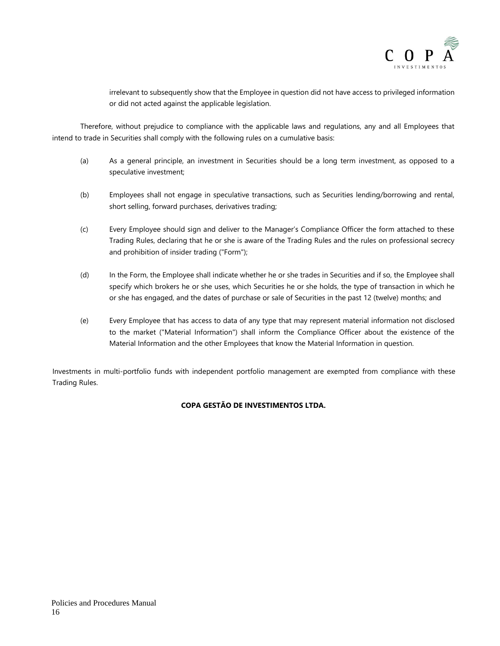

irrelevant to subsequently show that the Employee in question did not have access to privileged information or did not acted against the applicable legislation.

Therefore, without prejudice to compliance with the applicable laws and regulations, any and all Employees that intend to trade in Securities shall comply with the following rules on a cumulative basis:

- (a) As a general principle, an investment in Securities should be a long term investment, as opposed to a speculative investment;
- (b) Employees shall not engage in speculative transactions, such as Securities lending/borrowing and rental, short selling, forward purchases, derivatives trading;
- (c) Every Employee should sign and deliver to the Manager's Compliance Officer the form attached to these Trading Rules, declaring that he or she is aware of the Trading Rules and the rules on professional secrecy and prohibition of insider trading ("Form");
- (d) In the Form, the Employee shall indicate whether he or she trades in Securities and if so, the Employee shall specify which brokers he or she uses, which Securities he or she holds, the type of transaction in which he or she has engaged, and the dates of purchase or sale of Securities in the past 12 (twelve) months; and
- (e) Every Employee that has access to data of any type that may represent material information not disclosed to the market ("Material Information") shall inform the Compliance Officer about the existence of the Material Information and the other Employees that know the Material Information in question.

Investments in multi-portfolio funds with independent portfolio management are exempted from compliance with these Trading Rules.

# **COPA GESTÃO DE INVESTIMENTOS LTDA.**